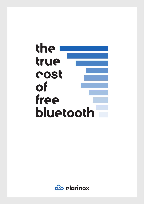# the i true cost of free bluetooth

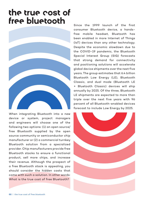# the true cost of free bluetooth



When integrating Bluetooth into a new device or system, project managers and engineers will choose one of the following two options: (1) an open source/ free Bluetooth supplied by the open source community or semiconductor chip manufacturer or (2) a commercial turnkey Bluetooth solution from a specialized provider. Chip manufacturers provide free Bluetooth stacks to ensure a functional product, sell more chips, and increase their revenue. Although the prospect of a free Bluetooth stack is appealing, you should consider the hidden costs that come with such a solution. In other words: What is the true cost of free Bluetooth?

Since the 1999 launch of the first consumer Bluetooth device, a handsfree mobile headset, Bluetooth has been enabled in more Internet of Things (IoT) devices than any other technology. Despite the economic slowdown due to the COVID-19 pandemic, the Bluetooth Special Interest Group (SIG) forecasts that strong demand for connectivity and positioning solutions will accelerate global device shipments over the next five years. The group estimates that 6.4 billion Bluetooth Low Energy (LE), Bluetooth Classic, and dual mode (Bluetooth LE + Bluetooth Classic) devices will ship annually by 2025. Of the three, Bluetooth LE shipments are expected to more than triple over the next five years with 96 percent of all Bluetooth-enabled devices forecast to include Low Energy by 2025.

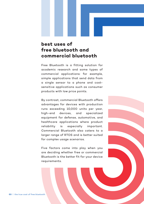#### **best uses of free bluetooth and commercial bluetooth**

Free Bluetooth is a fitting solution for academic research and some types of commercial applications: for example, simple applications that send data from a single sensor to a phone and costsensitive applications such as consumer products with low price points.

By contrast, commercial Bluetooth offers advantages for devices with production runs exceeding 10,000 units per year, high-end devices, and specialized equipment for defense, automotive, and healthcare applications where product reliability is especially important. Commercial Bluetooth also caters to a larger range of RTOS and is better suited for complex usage scenarios.

Five factors come into play when you are deciding whether free or commercial Bluetooth is the better fit for your device requirements.

**03** | the true cost of free bluetooth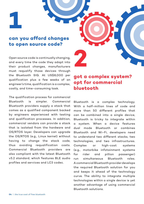**1**

#### **can you afford changes to open source code?**

Open source code is continually changing, and every time the code they adapt into their product changes, manufacturers must requalify those devices through the Bluetooth SIG. At US\$8,000 per qualification plus a few weeks of an engineer's time, qualification is a complex, costly, and time-consuming task.

The qualification process for commercial Bluetooth is simpler. Commercial Bluetooth providers supply a stack that comes as a qualified component backed by engineers experienced with testing and qualification processes. In addition, commercial vendors can provide a stack that is isolated from the hardware and OS/RTOS layer. Developers can upgrade the OS/RTOS (e.g., Linux kernel) without having to change the stack code, thus avoiding requalification costs. Commercial Bluetooth providers are also compliant with the latest Bluetooth v5.2 standard, which features BLE audio profiles and services and LC3 codec.

#### **got a complex system? opt for commercial bluetooth**

**2**

Bluetooth is a complex technology. With a half-million lines of code and more than 50 different profiles that can be combined into a single device, Bluetooth is tricky to integrate within a system. When a device features dual mode Bluetooth or combines Bluetooth and Wi-Fi, developers need to understand two different stacks, two technologies, and two infrastructures. Complex or high-cost systems (e.g., motorbike infotainment systems for rider and pillion passenger) run simultaneous Bluetooth roles. A commercial Bluetooth provider develops the required Bluetooth solution for you and keeps it ahead of the technology curve. The ability to integrate multiple technologies within a single device is yet another advantage of using commercial Bluetooth solutions.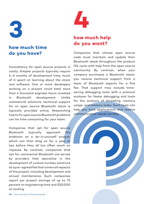

#### **how much time do you have?**

Consultancy for open source projects is costly. Simpler projects typically require 4–5 months of development time, much of it spent on learning about the stack and software. One or more developers working on a project could total more than a thousand engineer hours invested in Bluetooth development. Unlike commercial solutions, technical support for an open source Bluetooth stack is typically provided online. Researching how to fix open source Bluetooth problems can be time consuming for your team.

Companies that opt for open source Bluetooth typically approach the endeavor as a do-it-yourself project, which can then drag on for a year or two before they all too often reach an impasse. By contrast, companies that opt for commercial Bluetooth are served by providers that specialize in the development of custom turnkey solutions at a pre-agreed fee that covers all aspects of the project, including development and annual maintenance. Such companies report per project savings of up to 73 percent on engineering time and \$20,000 on tooling.



## **how much help do you want?**

Companies that choose open source code must maintain and update their Bluetooth stack throughout the product life cycle with help from the open source community. By contrast, when your company purchases a Bluetooth stack, you receive technical support from a team of Bluetooth experts for a flat fee. That support may include timesaving debugging tools with a protocol analyzer for faster debugging and tools for the analysis of threading, memory usage, and memory leaks. Such tools can help you tune applications and resolve communication issues quickly.